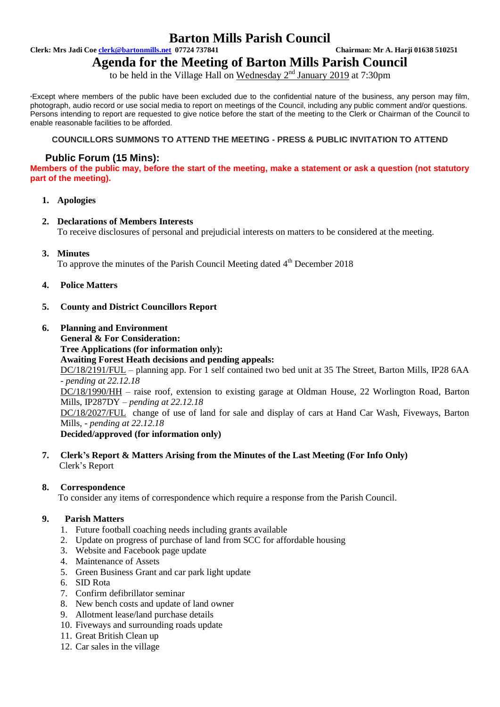## **Barton Mills Parish Council**

**Clerk: Mrs Jadi Coe clerk@bartonmills.net 07724 737841 Chairman: Mr A. Harji 01638 510251**

# **Agenda for the Meeting of Barton Mills Parish Council**

to be held in the Village Hall on Wednesday  $2<sup>nd</sup>$  January 2019 at 7:30pm

\*Except where members of the public have been excluded due to the confidential nature of the business, any person may film, photograph, audio record or use social media to report on meetings of the Council, including any public comment and/or questions. Persons intending to report are requested to give notice before the start of the meeting to the Clerk or Chairman of the Council to enable reasonable facilities to be afforded.

#### **COUNCILLORS SUMMONS TO ATTEND THE MEETING - PRESS & PUBLIC INVITATION TO ATTEND**

## **Public Forum (15 Mins):**

**Members of the public may, before the start of the meeting, make a statement or ask a question (not statutory part of the meeting).**

**1. Apologies**

### **2. Declarations of Members Interests**

To receive disclosures of personal and prejudicial interests on matters to be considered at the meeting.

**3. Minutes**

To approve the minutes of the Parish Council Meeting dated 4<sup>th</sup> December 2018

- **4. Police Matters**
- **5. County and District Councillors Report**
- **6. Planning and Environment**
	- **General & For Consideration: Tree Applications (for information only): Awaiting Forest Heath decisions and pending appeals:** DC/18/2191/FUL – planning app. For 1 self contained two bed unit at 35 The Street, Barton Mills, IP28 6AA *- pending at 22.12.18* DC/18/1990/HH – raise roof, extension to existing garage at Oldman House, 22 Worlington Road, Barton Mills, IP287DY – *pending at 22.12.18* DC/18/2027/FUL change of use of land for sale and display of cars at Hand Car Wash, Fiveways, Barton Mills, - *pending at 22.12.18*

#### **Decided/approved (for information only)**

**7. Clerk's Report & Matters Arising from the Minutes of the Last Meeting (For Info Only)** Clerk's Report

#### **8. Correspondence**

To consider any items of correspondence which require a response from the Parish Council.

#### **9. Parish Matters**

- 1. Future football coaching needs including grants available
- 2. Update on progress of purchase of land from SCC for affordable housing
- 3. Website and Facebook page update
- 4. Maintenance of Assets
- 5. Green Business Grant and car park light update
- 6. SID Rota
- 7. Confirm defibrillator seminar
- 8. New bench costs and update of land owner
- 9. Allotment lease/land purchase details
- 10. Fiveways and surrounding roads update
- 11. Great British Clean up
- 12. Car sales in the village